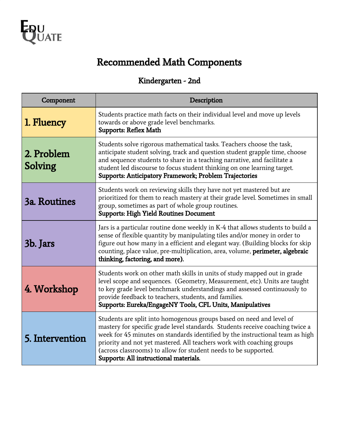

# Recommended Math Components

## Kindergarten - 2nd

| Component             | Description                                                                                                                                                                                                                                                                                                                                                                                                                  |  |
|-----------------------|------------------------------------------------------------------------------------------------------------------------------------------------------------------------------------------------------------------------------------------------------------------------------------------------------------------------------------------------------------------------------------------------------------------------------|--|
| 1. Fluency            | Students practice math facts on their individual level and move up levels<br>towards or above grade level benchmarks.<br><b>Supports: Reflex Math</b>                                                                                                                                                                                                                                                                        |  |
| 2. Problem<br>Solving | Students solve rigorous mathematical tasks. Teachers choose the task,<br>anticipate student solving, track and question student grapple time, choose<br>and sequence students to share in a teaching narrative, and facilitate a<br>student led discourse to focus student thinking on one learning target.<br>Supports: Anticipatory Framework; Problem Trajectories                                                        |  |
| 3a. Routines          | Students work on reviewing skills they have not yet mastered but are<br>prioritized for them to reach mastery at their grade level. Sometimes in small<br>group, sometimes as part of whole group routines.<br><b>Supports: High Yield Routines Document</b>                                                                                                                                                                 |  |
| 3b. Jars              | Jars is a particular routine done weekly in K-4 that allows students to build a<br>sense of flexible quantity by manipulating tiles and/or money in order to<br>figure out how many in a efficient and elegant way. (Building blocks for skip<br>counting, place value, pre-multiplication, area, volume, perimeter, algebraic<br>thinking, factoring, and more).                                                            |  |
| 4. Workshop           | Students work on other math skills in units of study mapped out in grade<br>level scope and sequences. (Geometry, Measurement, etc). Units are taught<br>to key grade level benchmark understandings and assessed continuously to<br>provide feedback to teachers, students, and families.<br>Supports: Eureka/EngageNY Tools, CFL Units, Manipulatives                                                                      |  |
| 5. Intervention       | Students are split into homogenous groups based on need and level of<br>mastery for specific grade level standards. Students receive coaching twice a<br>week for 45 minutes on standards identified by the instructional team as high<br>priority and not yet mastered. All teachers work with coaching groups<br>(across classrooms) to allow for student needs to be supported.<br>Supports: All instructional materials. |  |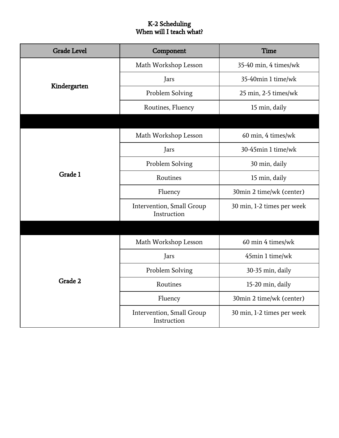## K-2 Scheduling When will I teach what?

| <b>Grade Level</b> | Time<br>Component                        |                            |
|--------------------|------------------------------------------|----------------------------|
|                    | Math Workshop Lesson                     | 35-40 min, 4 times/wk      |
|                    | Jars                                     | 35-40min 1 time/wk         |
| Kindergarten       | Problem Solving                          | 25 min, 2-5 times/wk       |
|                    | Routines, Fluency                        | 15 min, daily              |
|                    |                                          |                            |
|                    | Math Workshop Lesson                     | 60 min, 4 times/wk         |
|                    | Jars                                     | 30-45min 1 time/wk         |
|                    | Problem Solving                          | 30 min, daily              |
| Grade 1            | Routines                                 | 15 min, daily              |
|                    | Fluency                                  | 30min 2 time/wk (center)   |
|                    | Intervention, Small Group<br>Instruction | 30 min, 1-2 times per week |
|                    |                                          |                            |
|                    | Math Workshop Lesson                     | 60 min 4 times/wk          |
|                    | Jars                                     | 45min 1 time/wk            |
|                    | Problem Solving                          | 30-35 min, daily           |
| Grade 2            | Routines                                 | 15-20 min, daily           |
|                    | Fluency                                  | 30min 2 time/wk (center)   |
|                    | Intervention, Small Group<br>Instruction | 30 min, 1-2 times per week |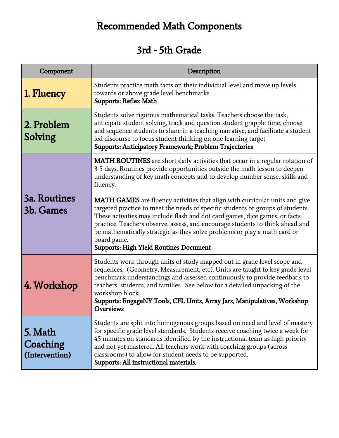# Recommended Math Components

# 3rd - 5th Grade

| Component                             | Description                                                                                                                                                                                                                                                                                                                                                                                                                                                                        |  |
|---------------------------------------|------------------------------------------------------------------------------------------------------------------------------------------------------------------------------------------------------------------------------------------------------------------------------------------------------------------------------------------------------------------------------------------------------------------------------------------------------------------------------------|--|
| 1. Fluency                            | Students practice math facts on their individual level and move up levels<br>towards or above grade level benchmarks.<br><b>Supports: Reflex Math</b>                                                                                                                                                                                                                                                                                                                              |  |
| 2. Problem<br>Solving                 | Students solve rigorous mathematical tasks. Teachers choose the task,<br>anticipate student solving, track and question student grapple time, choose<br>and sequence students to share in a teaching narrative, and facilitate a student<br>led discourse to focus student thinking on one learning target.<br>Supports: Anticipatory Framework; Problem Trajectories                                                                                                              |  |
|                                       | <b>MATH ROUTINES</b> are short daily activities that occur in a regular rotation of<br>3-5 days. Routines provide opportunities outside the math lesson to deepen<br>understanding of key math concepts and to develop number sense, skills and<br>fluency.                                                                                                                                                                                                                        |  |
| <b>3a. Routines</b><br>3b. Games      | <b>MATH GAMES</b> are fluency activities that align with curricular units and give<br>targeted practice to meet the needs of specific students or groups of students.<br>These activities may include flash and dot card games, dice games, or facts<br>practice. Teachers observe, assess, and encourage students to think ahead and<br>be mathematically strategic as they solve problems or play a math card or<br>board game.<br><b>Supports: High Yield Routines Document</b> |  |
| 4. Workshop                           | Students work through units of study mapped out in grade level scope and<br>sequences. (Geometry, Measurement, etc). Units are taught to key grade level<br>benchmark understandings and assessed continuously to provide feedback to<br>teachers, students, and families. See below for a detailed unpacking of the<br>workshop block.<br>Supports: EngageNY Tools, CFL Units, Array Jars, Manipulatives, Workshop<br><b>Overviews</b>                                            |  |
| 5. Math<br>Coaching<br>(Intervention) | Students are split into homogenous groups based on need and level of mastery<br>for specific grade level standards. Students receive coaching twice a week for<br>45 minutes on standards identified by the instructional team as high priority<br>and not yet mastered. All teachers work with coaching groups (across<br>classrooms) to allow for student needs to be supported.<br>Supports: All instructional materials.                                                       |  |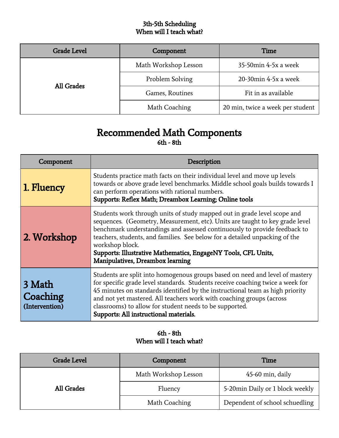## 3th-5th Scheduling When will I teach what?

| <b>Grade Level</b> | Component            | Time                             |
|--------------------|----------------------|----------------------------------|
|                    | Math Workshop Lesson | 35-50min 4-5x a week             |
| <b>All Grades</b>  | Problem Solving      | 20-30min 4-5x a week             |
|                    | Games, Routines      | Fit in as available              |
|                    | Math Coaching        | 20 min, twice a week per student |

## Recommended Math Components 6th - 8th

| Component                            | Description                                                                                                                                                                                                                                                                                                                                                                                                                                   |
|--------------------------------------|-----------------------------------------------------------------------------------------------------------------------------------------------------------------------------------------------------------------------------------------------------------------------------------------------------------------------------------------------------------------------------------------------------------------------------------------------|
| 1. Fluency                           | Students practice math facts on their individual level and move up levels<br>towards or above grade level benchmarks. Middle school goals builds towards I<br>can perform operations with rational numbers.<br>Supports: Reflex Math; Dreambox Learning; Online tools                                                                                                                                                                         |
| 2. Workshop                          | Students work through units of study mapped out in grade level scope and<br>sequences. (Geometry, Measurement, etc). Units are taught to key grade level<br>benchmark understandings and assessed continuously to provide feedback to<br>teachers, students, and families. See below for a detailed unpacking of the<br>workshop block.<br>Supports: Illustrative Mathematics, EngageNY Tools, CFL Units,<br>Manipulatives, Dreambox learning |
| 3 Math<br>Coaching<br>(Intervention) | Students are split into homogenous groups based on need and level of mastery<br>for specific grade level standards. Students receive coaching twice a week for<br>45 minutes on standards identified by the instructional team as high priority<br>and not yet mastered. All teachers work with coaching groups (across<br>classrooms) to allow for student needs to be supported.<br>Supports: All instructional materials.                  |

## 6th - 8th When will I teach what?

| <b>Grade Level</b> | Component            | Time                            |
|--------------------|----------------------|---------------------------------|
| <b>All Grades</b>  | Math Workshop Lesson | 45-60 min, daily                |
|                    | Fluency              | 5-20min Daily or 1 block weekly |
|                    | Math Coaching        | Dependent of school schuedling  |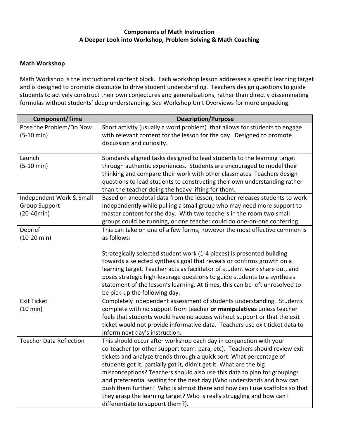### **Components of Math Instruction A Deeper Look into Workshop, Problem Solving & Math Coaching**

#### **Math Workshop**

Math Workshop is the instructional content block. Each workshop lesson addresses a specific learning target and is designed to promote discourse to drive student understanding. Teachers design questions to guide students to actively construct their own conjectures and generalizations, rather than directly disseminating formulas without students' deep understanding. See Workshop Unit Overviews for more unpacking.

| <b>Component/Time</b>                | <b>Description/Purpose</b>                                                                                                                    |
|--------------------------------------|-----------------------------------------------------------------------------------------------------------------------------------------------|
| Pose the Problem/Do Now              | Short activity (usually a word problem) that allows for students to engage                                                                    |
| $(5-10 \text{ min})$                 | with relevant content for the lesson for the day. Designed to promote                                                                         |
|                                      | discussion and curiosity.                                                                                                                     |
|                                      |                                                                                                                                               |
| Launch                               | Standards aligned tasks designed to lead students to the learning target                                                                      |
| $(5-10 \text{ min})$                 | through authentic experiences. Students are encouraged to model their                                                                         |
|                                      | thinking and compare their work with other classmates. Teachers design                                                                        |
|                                      | questions to lead students to constructing their own understanding rather                                                                     |
|                                      | than the teacher doing the heavy lifting for them.                                                                                            |
| Independent Work & Small             | Based on anecdotal data from the lesson, teacher releases students to work                                                                    |
| <b>Group Support</b><br>$(20-40min)$ | independently while pulling a small group who may need more support to<br>master content for the day. With two teachers in the room two small |
|                                      | groups could be running, or one teacher could do one-on-one conferring.                                                                       |
| Debrief                              | This can take on one of a few forms, however the most effective common is                                                                     |
| $(10-20 \text{ min})$                | as follows:                                                                                                                                   |
|                                      |                                                                                                                                               |
|                                      | Strategically selected student work (1-4 pieces) is presented building                                                                        |
|                                      | towards a selected synthesis goal that reveals or confirms growth on a                                                                        |
|                                      | learning target. Teacher acts as facilitator of student work share out, and                                                                   |
|                                      | poses strategic high-leverage questions to guide students to a synthesis                                                                      |
|                                      | statement of the lesson's learning. At times, this can be left unresolved to                                                                  |
|                                      | be pick-up the following day.                                                                                                                 |
| <b>Exit Ticket</b>                   | Completely independent assessment of students understanding. Students                                                                         |
| (10 min)                             | complete with no support from teacher or manipulatives unless teacher                                                                         |
|                                      | feels that students would have no access without support or that the exit                                                                     |
|                                      | ticket would not provide informative data. Teachers use exit ticket data to                                                                   |
|                                      | inform next day's instruction.                                                                                                                |
| <b>Teacher Data Reflection</b>       | This should occur after workshop each day in conjunction with your                                                                            |
|                                      | co-teacher (or other support team: para, etc). Teachers should review exit                                                                    |
|                                      | tickets and analyze trends through a quick sort. What percentage of                                                                           |
|                                      | students got it, partially got it, didn't get it. What are the big                                                                            |
|                                      | misconceptions? Teachers should also use this data to plan for groupings                                                                      |
|                                      | and preferential seating for the next day (Who understands and how can I                                                                      |
|                                      | push them further? Who is almost there and how can I use scaffolds so that                                                                    |
|                                      | they grasp the learning target? Who is really struggling and how can I                                                                        |
|                                      | differentiate to support them?).                                                                                                              |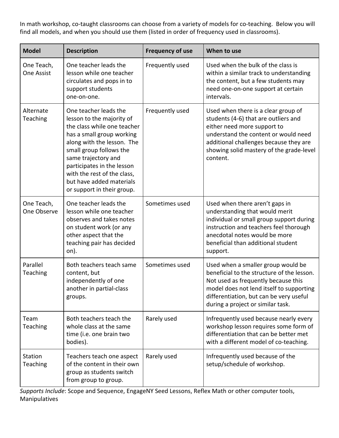In math workshop, co-taught classrooms can choose from a variety of models for co-teaching. Below you will find all models, and when you should use them (listed in order of frequency used in classrooms).

| <b>Model</b>                    | <b>Description</b>                                                                                                                                                                                                                                                                                                    | <b>Frequency of use</b> | When to use                                                                                                                                                                                                                                          |
|---------------------------------|-----------------------------------------------------------------------------------------------------------------------------------------------------------------------------------------------------------------------------------------------------------------------------------------------------------------------|-------------------------|------------------------------------------------------------------------------------------------------------------------------------------------------------------------------------------------------------------------------------------------------|
| One Teach,<br><b>One Assist</b> | One teacher leads the<br>lesson while one teacher<br>circulates and pops in to<br>support students<br>one-on-one.                                                                                                                                                                                                     | Frequently used         | Used when the bulk of the class is<br>within a similar track to understanding<br>the content, but a few students may<br>need one-on-one support at certain<br>intervals.                                                                             |
| Alternate<br>Teaching           | One teacher leads the<br>lesson to the majority of<br>the class while one teacher<br>has a small group working<br>along with the lesson. The<br>small group follows the<br>same trajectory and<br>participates in the lesson<br>with the rest of the class,<br>but have added materials<br>or support in their group. | Frequently used         | Used when there is a clear group of<br>students (4-6) that are outliers and<br>either need more support to<br>understand the content or would need<br>additional challenges because they are<br>showing solid mastery of the grade-level<br>content. |
| One Teach,<br>One Observe       | One teacher leads the<br>lesson while one teacher<br>observes and takes notes<br>on student work (or any<br>other aspect that the<br>teaching pair has decided<br>on).                                                                                                                                                | Sometimes used          | Used when there aren't gaps in<br>understanding that would merit<br>individual or small group support during<br>instruction and teachers feel thorough<br>anecdotal notes would be more<br>beneficial than additional student<br>support.            |
| Parallel<br>Teaching            | Both teachers teach same<br>content, but<br>independently of one<br>another in partial-class<br>groups.                                                                                                                                                                                                               | Sometimes used          | Used when a smaller group would be<br>beneficial to the structure of the lesson.<br>Not used as frequently because this<br>model does not lend itself to supporting<br>differentiation, but can be very useful<br>during a project or similar task.  |
| Team<br>Teaching                | Both teachers teach the<br>whole class at the same<br>time (i.e. one brain two<br>bodies).                                                                                                                                                                                                                            | Rarely used             | Infrequently used because nearly every<br>workshop lesson requires some form of<br>differentiation that can be better met<br>with a different model of co-teaching.                                                                                  |
| Station<br>Teaching             | Teachers teach one aspect<br>of the content in their own<br>group as students switch<br>from group to group.                                                                                                                                                                                                          | Rarely used             | Infrequently used because of the<br>setup/schedule of workshop.                                                                                                                                                                                      |

*Supports Include*: Scope and Sequence, EngageNY Seed Lessons, Reflex Math or other computer tools, Manipulatives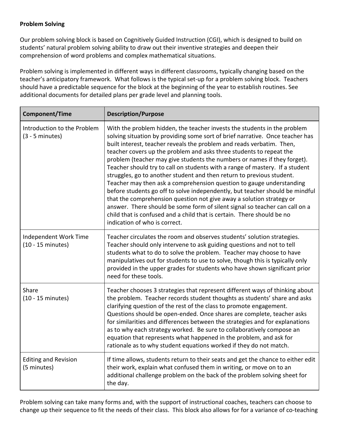### **Problem Solving**

Our problem solving block is based on Cognitively Guided Instruction (CGI), which is designed to build on students' natural problem solving ability to draw out their inventive strategies and deepen their comprehension of word problems and complex mathematical situations.

Problem solving is implemented in different ways in different classrooms, typically changing based on the teacher's anticipatory framework. What follows is the typical set-up for a problem solving block. Teachers should have a predictable sequence for the block at the beginning of the year to establish routines. See additional documents for detailed plans per grade level and planning tools.

| <b>Component/Time</b>                                | <b>Description/Purpose</b>                                                                                                                                                                                                                                                                                                                                                                                                                                                                                                                                                                                                                                                                                                                                                                                                                                                                                                                                               |
|------------------------------------------------------|--------------------------------------------------------------------------------------------------------------------------------------------------------------------------------------------------------------------------------------------------------------------------------------------------------------------------------------------------------------------------------------------------------------------------------------------------------------------------------------------------------------------------------------------------------------------------------------------------------------------------------------------------------------------------------------------------------------------------------------------------------------------------------------------------------------------------------------------------------------------------------------------------------------------------------------------------------------------------|
| Introduction to the Problem<br>$(3 - 5$ minutes)     | With the problem hidden, the teacher invests the students in the problem<br>solving situation by providing some sort of brief narrative. Once teacher has<br>built interest, teacher reveals the problem and reads verbatim. Then,<br>teacher covers up the problem and asks three students to repeat the<br>problem (teacher may give students the numbers or names if they forget).<br>Teacher should try to call on students with a range of mastery. If a student<br>struggles, go to another student and then return to previous student.<br>Teacher may then ask a comprehension question to gauge understanding<br>before students go off to solve independently, but teacher should be mindful<br>that the comprehension question not give away a solution strategy or<br>answer. There should be some form of silent signal so teacher can call on a<br>child that is confused and a child that is certain. There should be no<br>indication of who is correct. |
| Independent Work Time<br>$(10 - 15 \text{ minutes})$ | Teacher circulates the room and observes students' solution strategies.<br>Teacher should only intervene to ask guiding questions and not to tell<br>students what to do to solve the problem. Teacher may choose to have<br>manipulatives out for students to use to solve, though this is typically only<br>provided in the upper grades for students who have shown significant prior<br>need for these tools.                                                                                                                                                                                                                                                                                                                                                                                                                                                                                                                                                        |
| Share<br>$(10 - 15 \text{ minutes})$                 | Teacher chooses 3 strategies that represent different ways of thinking about<br>the problem. Teacher records student thoughts as students' share and asks<br>clarifying question of the rest of the class to promote engagement.<br>Questions should be open-ended. Once shares are complete, teacher asks<br>for similarities and differences between the strategies and for explanations<br>as to why each strategy worked. Be sure to collaboratively compose an<br>equation that represents what happened in the problem, and ask for<br>rationale as to why student equations worked if they do not match.                                                                                                                                                                                                                                                                                                                                                          |
| <b>Editing and Revision</b><br>(5 minutes)           | If time allows, students return to their seats and get the chance to either edit<br>their work, explain what confused them in writing, or move on to an<br>additional challenge problem on the back of the problem solving sheet for<br>the day.                                                                                                                                                                                                                                                                                                                                                                                                                                                                                                                                                                                                                                                                                                                         |

Problem solving can take many forms and, with the support of instructional coaches, teachers can choose to change up their sequence to fit the needs of their class. This block also allows for for a variance of co-teaching